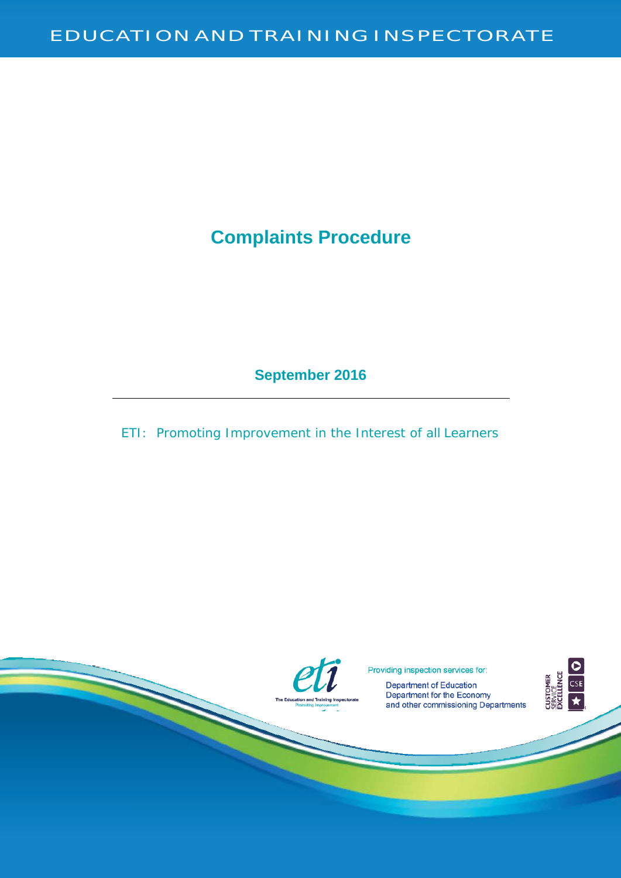# **Complaints Procedure**

**September 2016**

ETI: Promoting Improvement in the Interest of all Learners



Providing inspection services for:<br>Department of Education

**Department of Education And Training Inspection** Bepartment for the Economy Promoting Improvement and Training Improvement and Other commissioning Department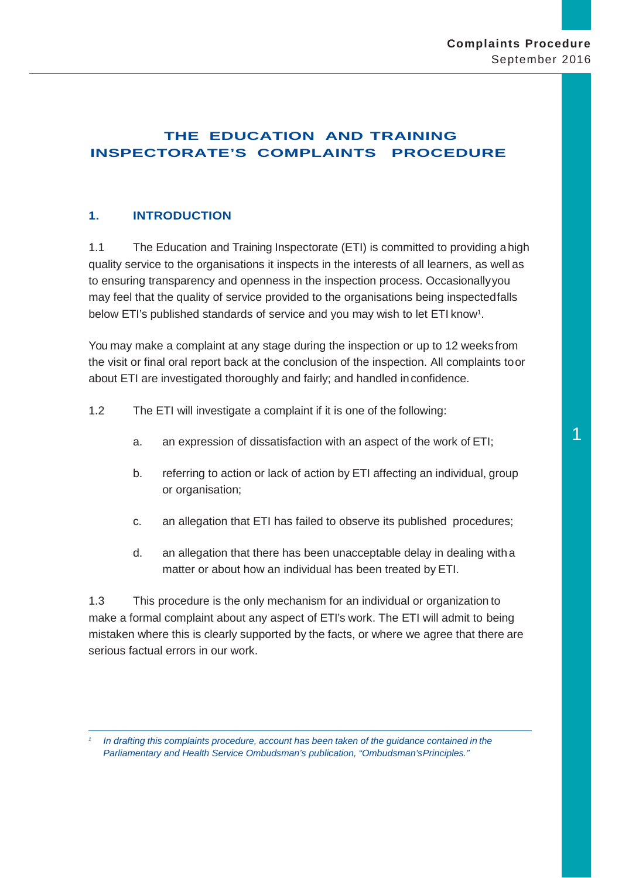# **THE EDUCATION AND TRAINING INSPECTORATE'S COMPLAINTS PROCEDURE**

# **1. INTRODUCTION**

1.1 The Education and Training Inspectorate (ETI) is committed to providing ahigh quality service to the organisations it inspects in the interests of all learners, as well as to ensuring transparency and openness in the inspection process. Occasionallyyou may feel that the quality of service provided to the organisations being inspectedfalls below ETI's published standards of service and you may wish to let ETI know<sup>1</sup>.

You may make a complaint at any stage during the inspection or up to 12 weeks from the visit or final oral report back at the conclusion of the inspection. All complaints toor about ETI are investigated thoroughly and fairly; and handled inconfidence.

- 1.2 The ETI will investigate a complaint if it is one of the following:
	- a. an expression of dissatisfaction with an aspect of the work of ETI;
	- b. referring to action or lack of action by ETI affecting an individual, group or organisation;
	- c. an allegation that ETI has failed to observe its published procedures;
	- d. an allegation that there has been unacceptable delay in dealing witha matter or about how an individual has been treated by ETI.

1.3 This procedure is the only mechanism for an individual or organization to make a formal complaint about any aspect of ETI's work. The ETI will admit to being mistaken where this is clearly supported by the facts, or where we agree that there are serious factual errors in our work.

*<sup>1</sup> In drafting this complaints procedure, account has been taken of the guidance contained in the Parliamentary and Health Service Ombudsman's publication, "Ombudsman'sPrinciples."*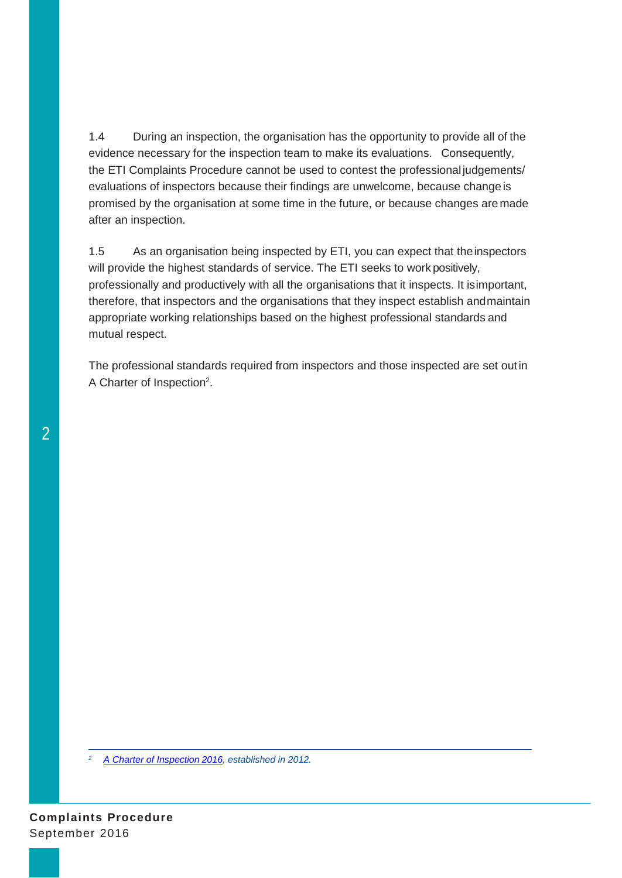1.4 During an inspection, the organisation has the opportunity to provide all of the evidence necessary for the inspection team to make its evaluations. Consequently, the ETI Complaints Procedure cannot be used to contest the professional judgements/ evaluations of inspectors because their findings are unwelcome, because changeis promised by the organisation at some time in the future, or because changes aremade after an inspection.

1.5 As an organisation being inspected by ETI, you can expect that theinspectors will provide the highest standards of service. The ETI seeks to work positively, professionally and productively with all the organisations that it inspects. It isimportant, therefore, that inspectors and the organisations that they inspect establish andmaintain appropriate working relationships based on the highest professional standards and mutual respect.

The professional standards required from inspectors and those inspected are set outin A Charter of Inspection2.

*<sup>2</sup> [A Charter of Inspection](http://tinyurl.com/Charter-Insp) 2016, established in 2012.*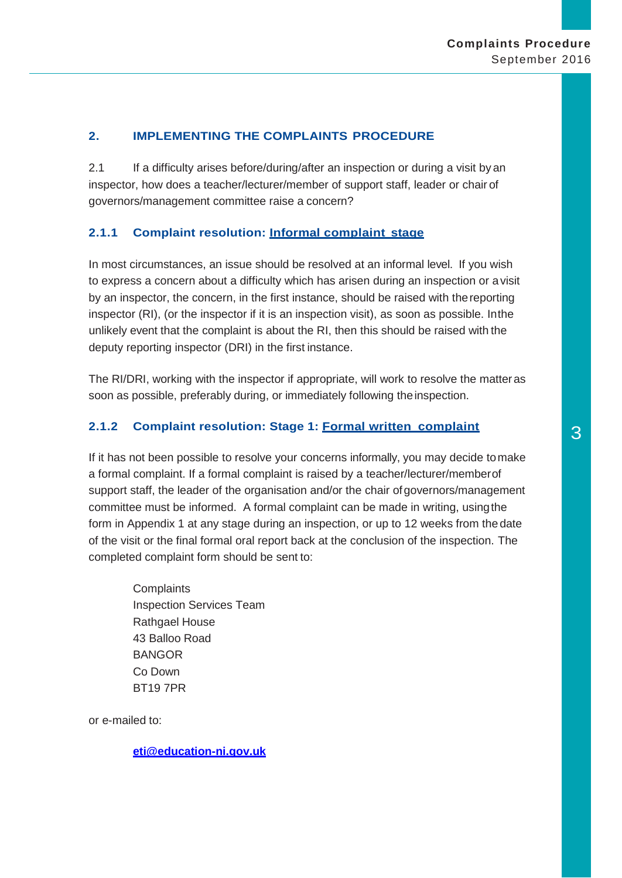## **2. IMPLEMENTING THE COMPLAINTS PROCEDURE**

2.1 If a difficulty arises before/during/after an inspection or during a visit by an inspector, how does a teacher/lecturer/member of support staff, leader or chair of governors/management committee raise a concern?

# **2.1.1 Complaint resolution: Informal complaint stage**

In most circumstances, an issue should be resolved at an informal level. If you wish to express a concern about a difficulty which has arisen during an inspection or avisit by an inspector, the concern, in the first instance, should be raised with thereporting inspector (RI), (or the inspector if it is an inspection visit), as soon as possible. Inthe unlikely event that the complaint is about the RI, then this should be raised with the deputy reporting inspector (DRI) in the first instance.

The RI/DRI, working with the inspector if appropriate, will work to resolve the matteras soon as possible, preferably during, or immediately following the inspection.

# **2.1.2 Complaint resolution: Stage 1: Formal written complaint** 3

If it has not been possible to resolve your concerns informally, you may decide tomake a formal complaint. If a formal complaint is raised by a teacher/lecturer/memberof support staff, the leader of the organisation and/or the chair ofgovernors/management committee must be informed. A formal complaint can be made in writing, usingthe form in Appendix 1 at any stage during an inspection, or up to 12 weeks from the date of the visit or the final formal oral report back at the conclusion of the inspection. The completed complaint form should be sent to:

**Complaints** Inspection Services Team Rathgael House 43 Balloo Road BANGOR Co Down BT19 7PR

or e-mailed to:

**[eti@education-ni.gov.uk](mailto:eti@education-ni.gov.uk)**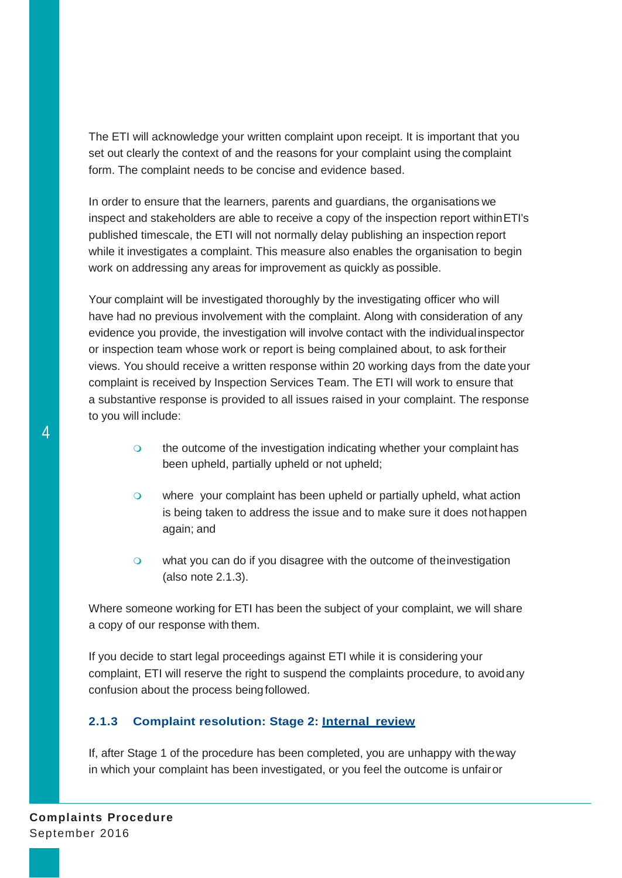The ETI will acknowledge your written complaint upon receipt. It is important that you set out clearly the context of and the reasons for your complaint using the complaint form. The complaint needs to be concise and evidence based.

In order to ensure that the learners, parents and guardians, the organisations we inspect and stakeholders are able to receive a copy of the inspection report withinETI's published timescale, the ETI will not normally delay publishing an inspection report while it investigates a complaint. This measure also enables the organisation to begin work on addressing any areas for improvement as quickly as possible.

Your complaint will be investigated thoroughly by the investigating officer who will have had no previous involvement with the complaint. Along with consideration of any evidence you provide, the investigation will involve contact with the individualinspector or inspection team whose work or report is being complained about, to ask fortheir views. You should receive a written response within 20 working days from the date your complaint is received by Inspection Services Team. The ETI will work to ensure that a substantive response is provided to all issues raised in your complaint. The response to you will include:

- o the outcome of the investigation indicating whether your complaint has been upheld, partially upheld or not upheld;
- o where your complaint has been upheld or partially upheld, what action is being taken to address the issue and to make sure it does nothappen again; and
- o what you can do if you disagree with the outcome of the investigation (also note 2.1.3).

Where someone working for ETI has been the subject of your complaint, we will share a copy of our response with them.

If you decide to start legal proceedings against ETI while it is considering your complaint, ETI will reserve the right to suspend the complaints procedure, to avoidany confusion about the process being followed.

# **2.1.3 Complaint resolution: Stage 2: Internal review**

If, after Stage 1 of the procedure has been completed, you are unhappy with theway in which your complaint has been investigated, or you feel the outcome is unfairor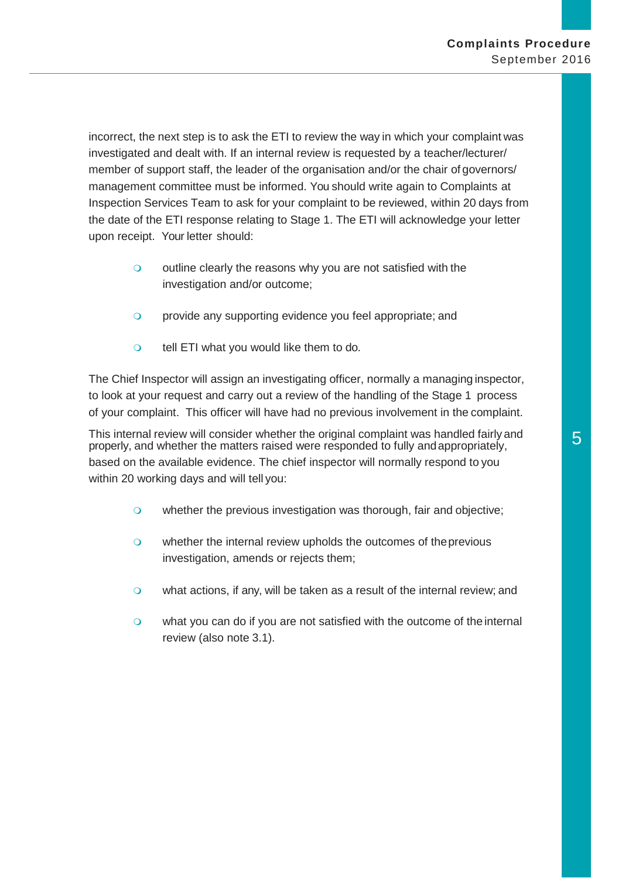incorrect, the next step is to ask the ETI to review the way in which your complaint was investigated and dealt with. If an internal review is requested by a teacher/lecturer/ member of support staff, the leader of the organisation and/or the chair of governors/ management committee must be informed. You should write again to Complaints at Inspection Services Team to ask for your complaint to be reviewed, within 20 days from the date of the ETI response relating to Stage 1. The ETI will acknowledge your letter upon receipt. Your letter should:

- $\circ$  outline clearly the reasons why you are not satisfied with the investigation and/or outcome;
- **o** provide any supporting evidence you feel appropriate; and
- o tell ETI what you would like them to do.

The Chief Inspector will assign an investigating officer, normally a managing inspector, to look at your request and carry out a review of the handling of the Stage 1 process of your complaint. This officer will have had no previous involvement in the complaint.

This internal review will consider whether the original complaint was handled fairly and properly, and whether the matters raised were responded to fully andappropriately, based on the available evidence. The chief inspector will normally respond to you within 20 working days and will tell you:

- o whether the previous investigation was thorough, fair and objective;
- o whether the internal review upholds the outcomes of the previous investigation, amends or rejects them;
- what actions, if any, will be taken as a result of the internal review; and
- o what you can do if you are not satisfied with the outcome of the internal review (also note 3.1).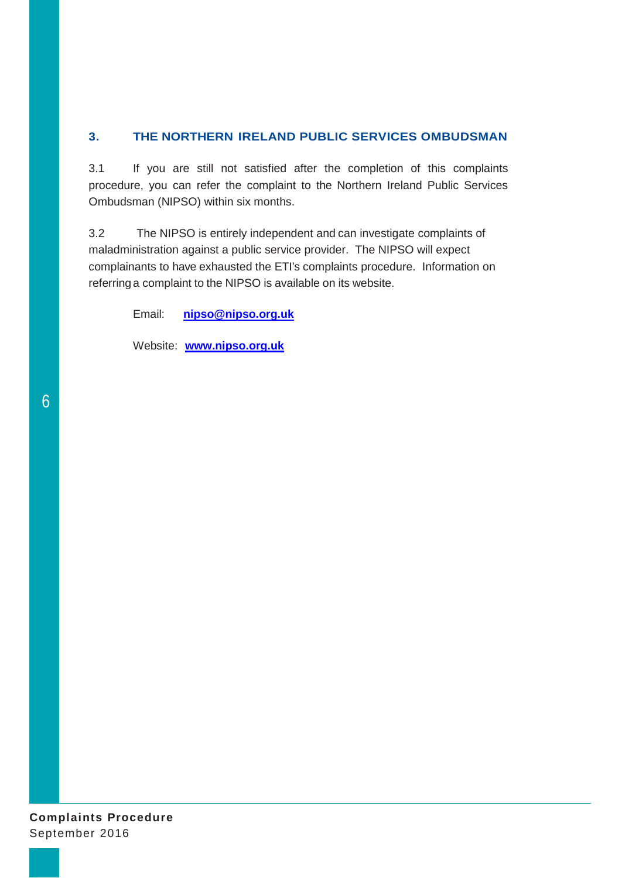# **3. THE NORTHERN IRELAND PUBLIC SERVICES OMBUDSMAN**

3.1 If you are still not satisfied after the completion of this complaints procedure, you can refer the complaint to the Northern Ireland Public Services Ombudsman (NIPSO) within six months.

3.2 The NIPSO is entirely independent and can investigate complaints of maladministration against a public service provider. The NIPSO will expect complainants to have exhausted the ETI's complaints procedure. Information on referring a complaint to the NIPSO is available on its website.

Email: **[nipso@nipso.org.uk](mailto:nipso@nipso.org.uk)**

Website: **[www.nipso.org.uk](http://www.nipso.org.uk/)**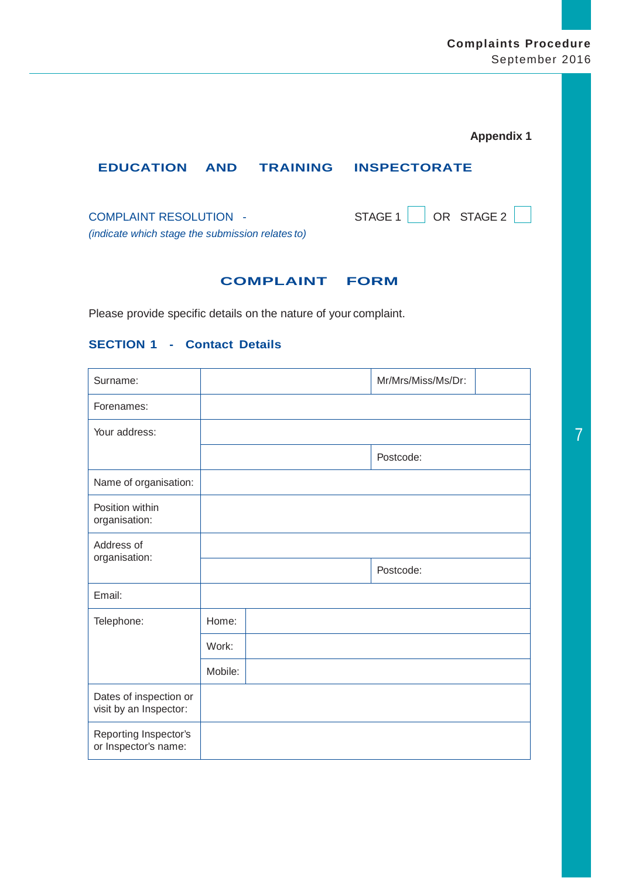# **Complaints Procedure** September 2016

| <b>Appendix 1</b> |  |  |  |
|-------------------|--|--|--|
|-------------------|--|--|--|

# **EDUCATION AND TRAINING INSPECTORATE**

COMPLAINT RESOLUTION - STAGE 1 OR STAGE 2 *(indicate which stage the submission relates to)*

### **COMPLAINT FORM**

Please provide specific details on the nature of your complaint.

### **SECTION 1 - Contact Details**

| Surname:                                         |         | Mr/Mrs/Miss/Ms/Dr: |  |
|--------------------------------------------------|---------|--------------------|--|
| Forenames:                                       |         |                    |  |
| Your address:                                    |         |                    |  |
|                                                  |         | Postcode:          |  |
| Name of organisation:                            |         |                    |  |
| Position within<br>organisation:                 |         |                    |  |
| Address of                                       |         |                    |  |
| organisation:                                    |         | Postcode:          |  |
| Email:                                           |         |                    |  |
| Telephone:                                       | Home:   |                    |  |
|                                                  | Work:   |                    |  |
|                                                  | Mobile: |                    |  |
| Dates of inspection or<br>visit by an Inspector: |         |                    |  |
| Reporting Inspector's<br>or Inspector's name:    |         |                    |  |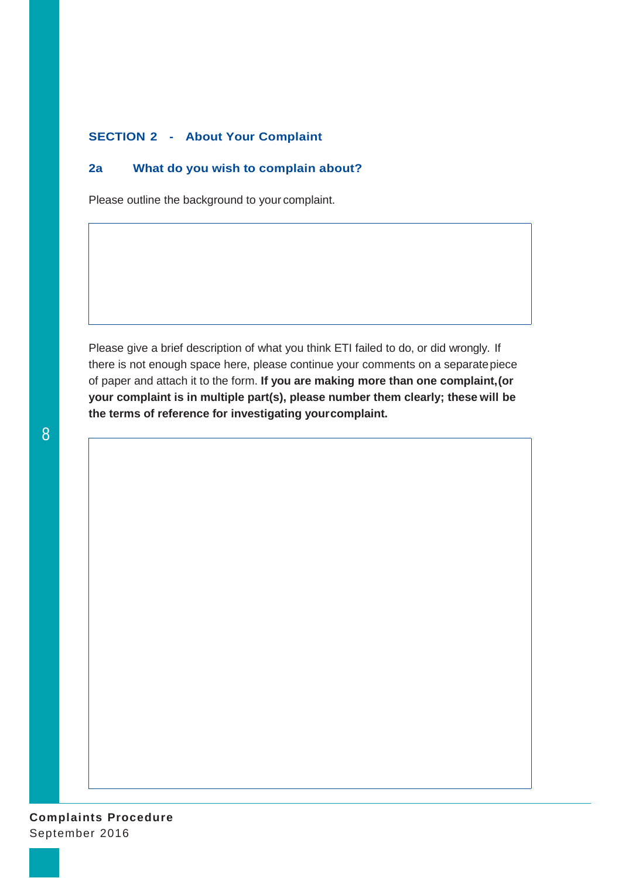### **SECTION 2 - About Your Complaint**

### **2a What do you wish to complain about?**

Please outline the background to your complaint.

Please give a brief description of what you think ETI failed to do, or did wrongly. If there is not enough space here, please continue your comments on a separatepiece of paper and attach it to the form. **If you are making more than one complaint,(or your complaint is in multiple part(s), please number them clearly; these will be the terms of reference for investigating yourcomplaint.**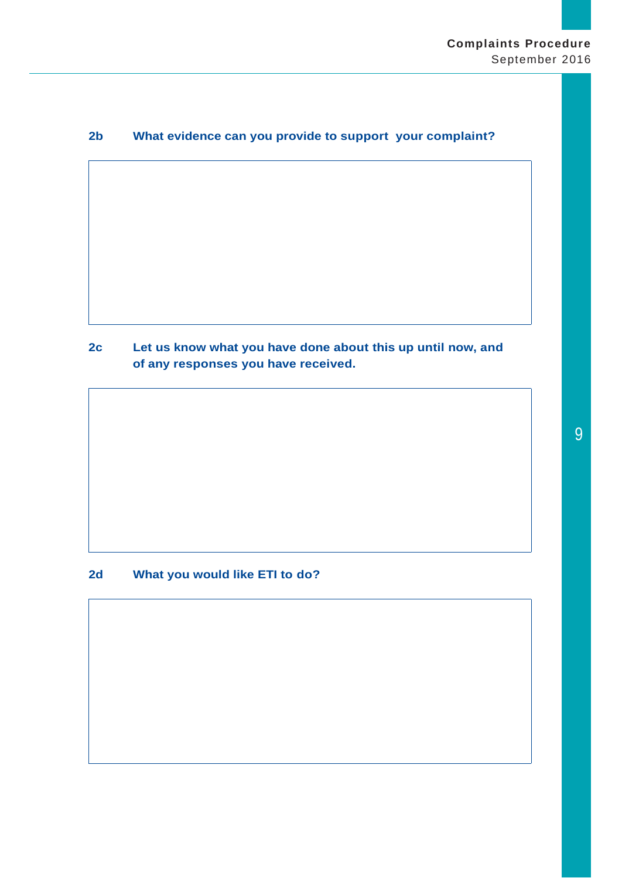# **2b What evidence can you provide to support your complaint?**

**2c Let us know what you have done about this up until now, and of any responses you have received.**

**2d What you would like ETI to do?**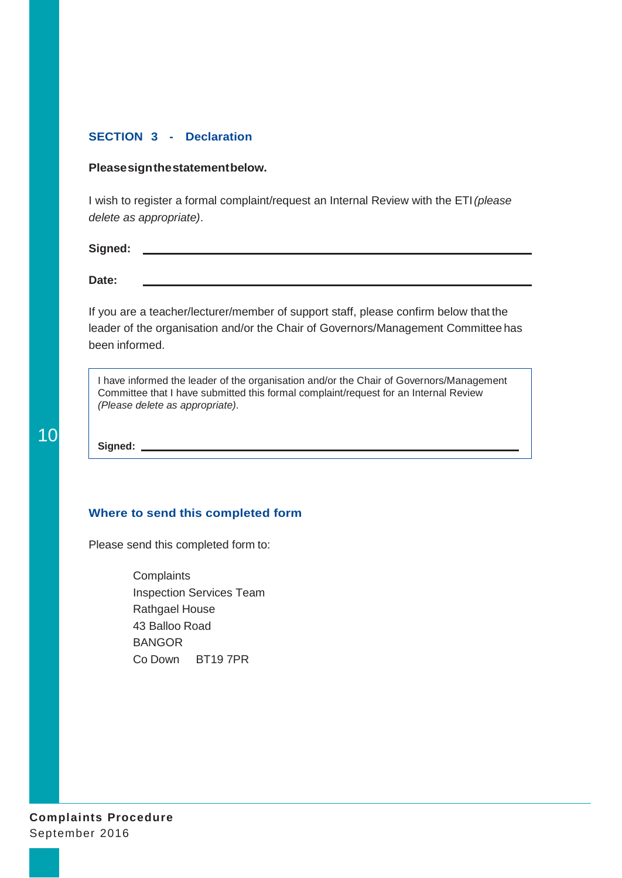### **SECTION 3 - Declaration**

### **Pleasesignthestatementbelow.**

I wish to register a formal complaint/request an Internal Review with the ETI*(please delete as appropriate)*.

**Signed:**

**Date:**

If you are a teacher/lecturer/member of support staff, please confirm below that the leader of the organisation and/or the Chair of Governors/Management Committee has been informed.

I have informed the leader of the organisation and/or the Chair of Governors/Management Committee that I have submitted this formal complaint/request for an Internal Review *(Please delete as appropriate)*.

**Signed:** 

#### **Where to send this completed form**

Please send this completed form to:

**Complaints** Inspection Services Team Rathgael House 43 Balloo Road BANGOR Co Down BT19 7PR

**Complaints Procedure** September 2016